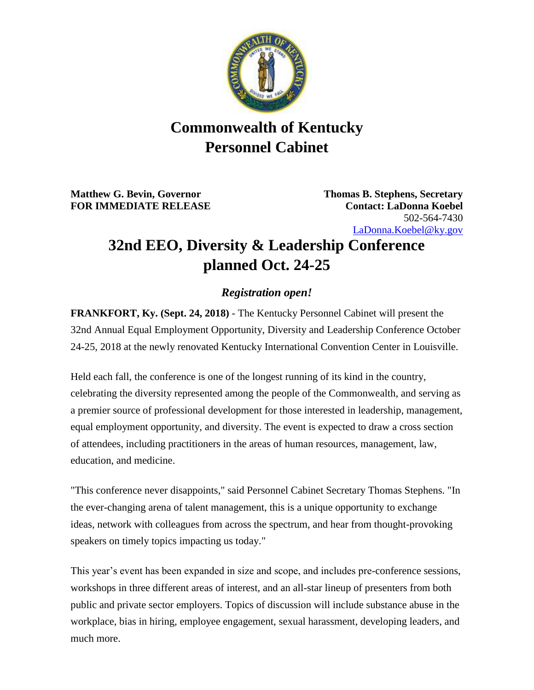

## **Commonwealth of Kentucky Personnel Cabinet**

**Matthew G. Bevin, Governor Thomas B. Stephens, Secretary FOR IMMEDIATE RELEASE Contact: LaDonna Koebel**

502-564-7430 [LaDonna.Koebel@ky.gov](mailto:LaDonna.Koebel@ky.gov)

## **32nd EEO, Diversity & Leadership Conference planned Oct. 24-25**

## *Registration open!*

**FRANKFORT, Ky. (Sept. 24, 2018)** - The Kentucky Personnel Cabinet will present the 32nd Annual Equal Employment Opportunity, Diversity and Leadership Conference October 24-25, 2018 at the newly renovated Kentucky International Convention Center in Louisville.

Held each fall, the conference is one of the longest running of its kind in the country, celebrating the diversity represented among the people of the Commonwealth, and serving as a premier source of professional development for those interested in leadership, management, equal employment opportunity, and diversity. The event is expected to draw a cross section of attendees, including practitioners in the areas of human resources, management, law, education, and medicine.

"This conference never disappoints," said Personnel Cabinet Secretary Thomas Stephens. "In the ever-changing arena of talent management, this is a unique opportunity to exchange ideas, network with colleagues from across the spectrum, and hear from thought-provoking speakers on timely topics impacting us today."

This year's event has been expanded in size and scope, and includes pre-conference sessions, workshops in three different areas of interest, and an all-star lineup of presenters from both public and private sector employers. Topics of discussion will include substance abuse in the workplace, bias in hiring, employee engagement, sexual harassment, developing leaders, and much more.